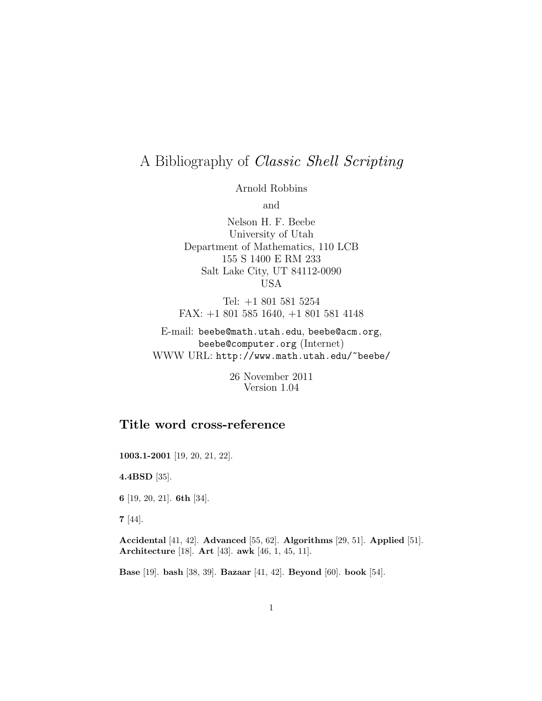# A Bibliography of Classic Shell Scripting

Arnold Robbins

and

Nelson H. F. Beebe University of Utah Department of Mathematics, 110 LCB 155 S 1400 E RM 233 Salt Lake City, UT 84112-0090 USA

Tel: +1 801 581 5254 FAX: +1 801 585 1640, +1 801 581 4148

E-mail: beebe@math.utah.edu, beebe@acm.org, beebe@computer.org (Internet) WWW URL: http://www.math.utah.edu/~beebe/

> 26 November 2011 Version 1.04

## **Title word cross-reference**

**1003.1-2001** [19, 20, 21, 22].

**4.4BSD** [35].

**6** [19, 20, 21]. **6th** [34].

**7** [44].

**Accidental** [41, 42]. **Advanced** [55, 62]. **Algorithms** [29, 51]. **Applied** [51]. **Architecture** [18]. **Art** [43]. **awk** [46, 1, 45, 11].

**Base** [19]. **bash** [38, 39]. **Bazaar** [41, 42]. **Beyond** [60]. **book** [54].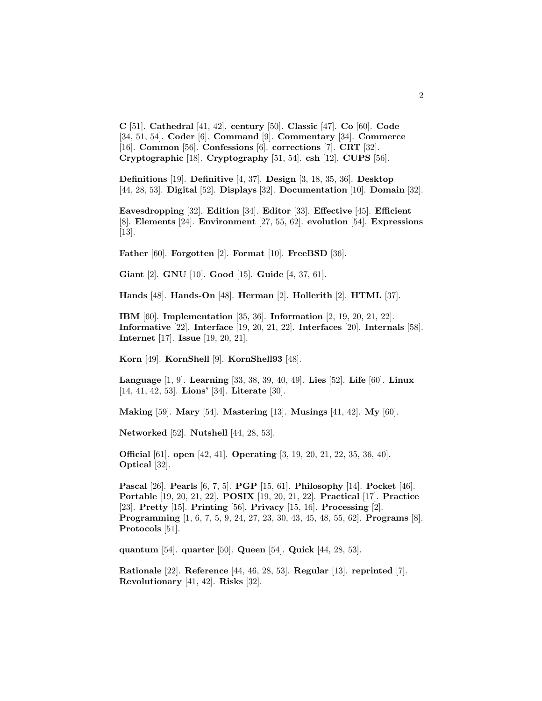**C** [51]. **Cathedral** [41, 42]. **century** [50]. **Classic** [47]. **Co** [60]. **Code** [34, 51, 54]. **Coder** [6]. **Command** [9]. **Commentary** [34]. **Commerce** [16]. **Common** [56]. **Confessions** [6]. **corrections** [7]. **CRT** [32]. **Cryptographic** [18]. **Cryptography** [51, 54]. **csh** [12]. **CUPS** [56].

**Definitions** [19]. **Definitive** [4, 37]. **Design** [3, 18, 35, 36]. **Desktop** [44, 28, 53]. **Digital** [52]. **Displays** [32]. **Documentation** [10]. **Domain** [32].

**Eavesdropping** [32]. **Edition** [34]. **Editor** [33]. **Effective** [45]. **Efficient** [8]. **Elements** [24]. **Environment** [27, 55, 62]. **evolution** [54]. **Expressions** [13].

**Father** [60]. **Forgotten** [2]. **Format** [10]. **FreeBSD** [36].

**Giant** [2]. **GNU** [10]. **Good** [15]. **Guide** [4, 37, 61].

**Hands** [48]. **Hands-On** [48]. **Herman** [2]. **Hollerith** [2]. **HTML** [37].

**IBM** [60]. **Implementation** [35, 36]. **Information** [2, 19, 20, 21, 22]. **Informative** [22]. **Interface** [19, 20, 21, 22]. **Interfaces** [20]. **Internals** [58]. **Internet** [17]. **Issue** [19, 20, 21].

**Korn** [49]. **KornShell** [9]. **KornShell93** [48].

**Language** [1, 9]. **Learning** [33, 38, 39, 40, 49]. **Lies** [52]. **Life** [60]. **Linux** [14, 41, 42, 53]. **Lions'** [34]. **Literate** [30].

**Making** [59]. **Mary** [54]. **Mastering** [13]. **Musings** [41, 42]. **My** [60].

**Networked** [52]. **Nutshell** [44, 28, 53].

**Official** [61]. **open** [42, 41]. **Operating** [3, 19, 20, 21, 22, 35, 36, 40]. **Optical** [32].

**Pascal** [26]. **Pearls** [6, 7, 5]. **PGP** [15, 61]. **Philosophy** [14]. **Pocket** [46]. **Portable** [19, 20, 21, 22]. **POSIX** [19, 20, 21, 22]. **Practical** [17]. **Practice** [23]. **Pretty** [15]. **Printing** [56]. **Privacy** [15, 16]. **Processing** [2]. **Programming** [1, 6, 7, 5, 9, 24, 27, 23, 30, 43, 45, 48, 55, 62]. **Programs** [8]. **Protocols** [51].

**quantum** [54]. **quarter** [50]. **Queen** [54]. **Quick** [44, 28, 53].

**Rationale** [22]. **Reference** [44, 46, 28, 53]. **Regular** [13]. **reprinted** [7]. **Revolutionary** [41, 42]. **Risks** [32].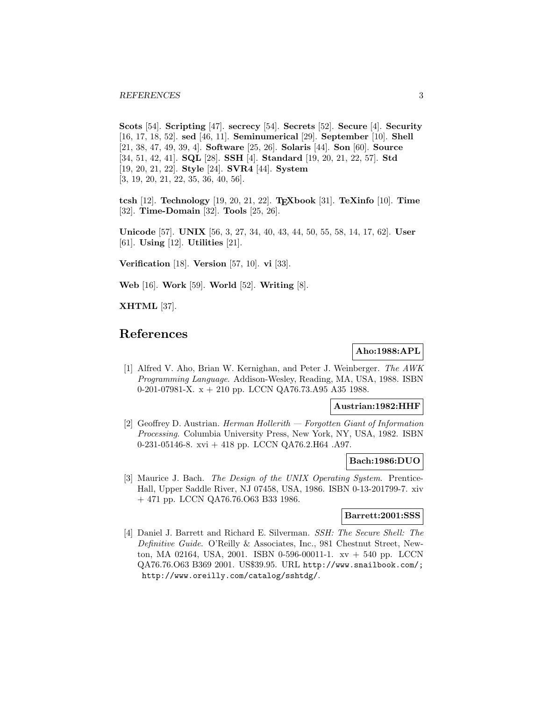**Scots** [54]. **Scripting** [47]. **secrecy** [54]. **Secrets** [52]. **Secure** [4]. **Security** [16, 17, 18, 52]. **sed** [46, 11]. **Seminumerical** [29]. **September** [10]. **Shell** [21, 38, 47, 49, 39, 4]. **Software** [25, 26]. **Solaris** [44]. **Son** [60]. **Source** [34, 51, 42, 41]. **SQL** [28]. **SSH** [4]. **Standard** [19, 20, 21, 22, 57]. **Std** [19, 20, 21, 22]. **Style** [24]. **SVR4** [44]. **System** [3, 19, 20, 21, 22, 35, 36, 40, 56].

**tcsh** [12]. **Technology** [19, 20, 21, 22]. **TEXbook** [31]. **TeXinfo** [10]. **Time** [32]. **Time-Domain** [32]. **Tools** [25, 26].

**Unicode** [57]. **UNIX** [56, 3, 27, 34, 40, 43, 44, 50, 55, 58, 14, 17, 62]. **User** [61]. **Using** [12]. **Utilities** [21].

**Verification** [18]. **Version** [57, 10]. **vi** [33].

**Web** [16]. **Work** [59]. **World** [52]. **Writing** [8].

**XHTML** [37].

## **References**

**Aho:1988:APL**

[1] Alfred V. Aho, Brian W. Kernighan, and Peter J. Weinberger. The AWK Programming Language. Addison-Wesley, Reading, MA, USA, 1988. ISBN 0-201-07981-X. x + 210 pp. LCCN QA76.73.A95 A35 1988.

#### **Austrian:1982:HHF**

[2] Geoffrey D. Austrian. Herman Hollerith — Forgotten Giant of Information Processing. Columbia University Press, New York, NY, USA, 1982. ISBN 0-231-05146-8. xvi + 418 pp. LCCN QA76.2.H64 .A97.

#### **Bach:1986:DUO**

[3] Maurice J. Bach. The Design of the UNIX Operating System. Prentice-Hall, Upper Saddle River, NJ 07458, USA, 1986. ISBN 0-13-201799-7. xiv + 471 pp. LCCN QA76.76.O63 B33 1986.

#### **Barrett:2001:SSS**

[4] Daniel J. Barrett and Richard E. Silverman. SSH: The Secure Shell: The Definitive Guide. O'Reilly & Associates, Inc., 981 Chestnut Street, Newton, MA 02164, USA, 2001. ISBN 0-596-00011-1. xv + 540 pp. LCCN QA76.76.O63 B369 2001. US\$39.95. URL http://www.snailbook.com/; http://www.oreilly.com/catalog/sshtdg/.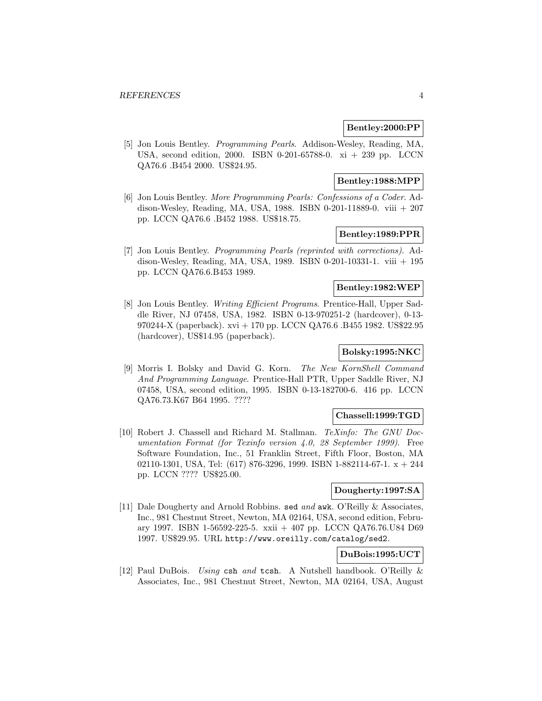#### **Bentley:2000:PP**

[5] Jon Louis Bentley. Programming Pearls. Addison-Wesley, Reading, MA, USA, second edition, 2000. ISBN 0-201-65788-0. xi + 239 pp. LCCN QA76.6 .B454 2000. US\$24.95.

#### **Bentley:1988:MPP**

[6] Jon Louis Bentley. More Programming Pearls: Confessions of a Coder. Addison-Wesley, Reading, MA, USA, 1988. ISBN 0-201-11889-0. viii + 207 pp. LCCN QA76.6 .B452 1988. US\$18.75.

## **Bentley:1989:PPR**

[7] Jon Louis Bentley. Programming Pearls (reprinted with corrections). Addison-Wesley, Reading, MA, USA, 1989. ISBN 0-201-10331-1. viii + 195 pp. LCCN QA76.6.B453 1989.

#### **Bentley:1982:WEP**

[8] Jon Louis Bentley. Writing Efficient Programs. Prentice-Hall, Upper Saddle River, NJ 07458, USA, 1982. ISBN 0-13-970251-2 (hardcover), 0-13- 970244-X (paperback). xvi + 170 pp. LCCN QA76.6 .B455 1982. US\$22.95 (hardcover), US\$14.95 (paperback).

## **Bolsky:1995:NKC**

[9] Morris I. Bolsky and David G. Korn. The New KornShell Command And Programming Language. Prentice-Hall PTR, Upper Saddle River, NJ 07458, USA, second edition, 1995. ISBN 0-13-182700-6. 416 pp. LCCN QA76.73.K67 B64 1995. ????

#### **Chassell:1999:TGD**

[10] Robert J. Chassell and Richard M. Stallman. TeXinfo: The GNU Documentation Format (for Texinfo version 4.0, 28 September 1999). Free Software Foundation, Inc., 51 Franklin Street, Fifth Floor, Boston, MA 02110-1301, USA, Tel:  $(617)$  876-3296, 1999. ISBN 1-882114-67-1.  $x + 244$ pp. LCCN ???? US\$25.00.

#### **Dougherty:1997:SA**

[11] Dale Dougherty and Arnold Robbins. sed and awk. O'Reilly & Associates, Inc., 981 Chestnut Street, Newton, MA 02164, USA, second edition, February 1997. ISBN 1-56592-225-5. xxii + 407 pp. LCCN QA76.76.U84 D69 1997. US\$29.95. URL http://www.oreilly.com/catalog/sed2.

## **DuBois:1995:UCT**

[12] Paul DuBois. Using csh and tcsh. A Nutshell handbook. O'Reilly & Associates, Inc., 981 Chestnut Street, Newton, MA 02164, USA, August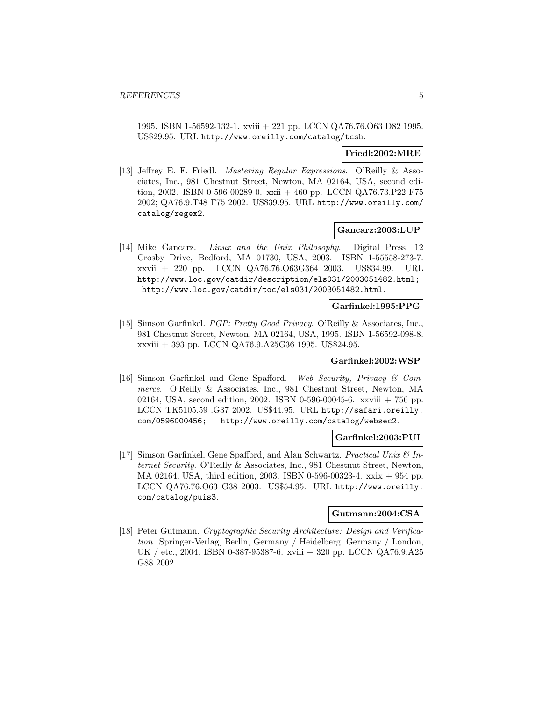1995. ISBN 1-56592-132-1. xviii + 221 pp. LCCN QA76.76.O63 D82 1995. US\$29.95. URL http://www.oreilly.com/catalog/tcsh.

#### **Friedl:2002:MRE**

[13] Jeffrey E. F. Friedl. Mastering Regular Expressions. O'Reilly & Associates, Inc., 981 Chestnut Street, Newton, MA 02164, USA, second edition, 2002. ISBN 0-596-00289-0. xxii + 460 pp. LCCN QA76.73.P22 F75 2002; QA76.9.T48 F75 2002. US\$39.95. URL http://www.oreilly.com/ catalog/regex2.

#### **Gancarz:2003:LUP**

[14] Mike Gancarz. Linux and the Unix Philosophy. Digital Press, 12 Crosby Drive, Bedford, MA 01730, USA, 2003. ISBN 1-55558-273-7. xxvii + 220 pp. LCCN QA76.76.O63G364 2003. US\$34.99. URL http://www.loc.gov/catdir/description/els031/2003051482.html; http://www.loc.gov/catdir/toc/els031/2003051482.html.

#### **Garfinkel:1995:PPG**

[15] Simson Garfinkel. PGP: Pretty Good Privacy. O'Reilly & Associates, Inc., 981 Chestnut Street, Newton, MA 02164, USA, 1995. ISBN 1-56592-098-8. xxxiii + 393 pp. LCCN QA76.9.A25G36 1995. US\$24.95.

#### **Garfinkel:2002:WSP**

[16] Simson Garfinkel and Gene Spafford. Web Security, Privacy & Commerce. O'Reilly & Associates, Inc., 981 Chestnut Street, Newton, MA 02164, USA, second edition, 2002. ISBN 0-596-00045-6. xxviii + 756 pp. LCCN TK5105.59 .G37 2002. US\$44.95. URL http://safari.oreilly. com/0596000456; http://www.oreilly.com/catalog/websec2.

## **Garfinkel:2003:PUI**

[17] Simson Garfinkel, Gene Spafford, and Alan Schwartz. Practical Unix  $\mathcal{C}$  Internet Security. O'Reilly & Associates, Inc., 981 Chestnut Street, Newton, MA 02164, USA, third edition, 2003. ISBN 0-596-00323-4. xxix + 954 pp. LCCN QA76.76.O63 G38 2003. US\$54.95. URL http://www.oreilly. com/catalog/puis3.

#### **Gutmann:2004:CSA**

[18] Peter Gutmann. Cryptographic Security Architecture: Design and Verification. Springer-Verlag, Berlin, Germany / Heidelberg, Germany / London, UK / etc., 2004. ISBN 0-387-95387-6. xviii + 320 pp. LCCN QA76.9.A25 G88 2002.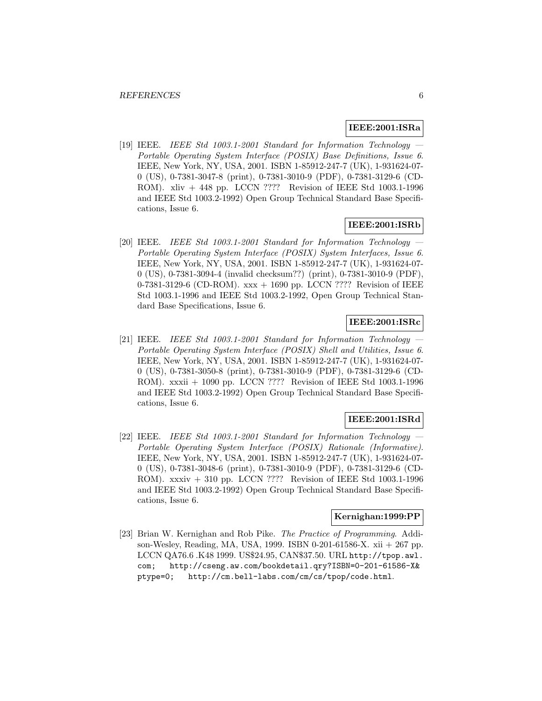#### **IEEE:2001:ISRa**

[19] IEEE. IEEE Std 1003.1-2001 Standard for Information Technology Portable Operating System Interface (POSIX) Base Definitions, Issue 6. IEEE, New York, NY, USA, 2001. ISBN 1-85912-247-7 (UK), 1-931624-07- 0 (US), 0-7381-3047-8 (print), 0-7381-3010-9 (PDF), 0-7381-3129-6 (CD-ROM). xliv + 448 pp. LCCN ???? Revision of IEEE Std 1003.1-1996 and IEEE Std 1003.2-1992) Open Group Technical Standard Base Specifications, Issue 6.

#### **IEEE:2001:ISRb**

 $[20]$  IEEE. IEEE Std 1003.1-2001 Standard for Information Technology Portable Operating System Interface (POSIX) System Interfaces, Issue 6. IEEE, New York, NY, USA, 2001. ISBN 1-85912-247-7 (UK), 1-931624-07- 0 (US), 0-7381-3094-4 (invalid checksum??) (print), 0-7381-3010-9 (PDF), 0-7381-3129-6 (CD-ROM).  $xxx + 1690$  pp. LCCN ???? Revision of IEEE Std 1003.1-1996 and IEEE Std 1003.2-1992, Open Group Technical Standard Base Specifications, Issue 6.

## **IEEE:2001:ISRc**

 $[21]$  IEEE. IEEE Std 1003.1-2001 Standard for Information Technology Portable Operating System Interface (POSIX) Shell and Utilities, Issue 6. IEEE, New York, NY, USA, 2001. ISBN 1-85912-247-7 (UK), 1-931624-07- 0 (US), 0-7381-3050-8 (print), 0-7381-3010-9 (PDF), 0-7381-3129-6 (CD-ROM). xxxii + 1090 pp. LCCN ???? Revision of IEEE Std 1003.1-1996 and IEEE Std 1003.2-1992) Open Group Technical Standard Base Specifications, Issue 6.

#### **IEEE:2001:ISRd**

 $[22]$  IEEE. IEEE Std 1003.1-2001 Standard for Information Technology Portable Operating System Interface (POSIX) Rationale (Informative). IEEE, New York, NY, USA, 2001. ISBN 1-85912-247-7 (UK), 1-931624-07- 0 (US), 0-7381-3048-6 (print), 0-7381-3010-9 (PDF), 0-7381-3129-6 (CD-ROM). xxxiv + 310 pp. LCCN ???? Revision of IEEE Std 1003.1-1996 and IEEE Std 1003.2-1992) Open Group Technical Standard Base Specifications, Issue 6.

#### **Kernighan:1999:PP**

[23] Brian W. Kernighan and Rob Pike. The Practice of Programming. Addison-Wesley, Reading, MA, USA, 1999. ISBN 0-201-61586-X. xii + 267 pp. LCCN QA76.6 .K48 1999. US\$24.95, CAN\$37.50. URL http://tpop.awl. com; http://cseng.aw.com/bookdetail.qry?ISBN=0-201-61586-X& ptype=0; http://cm.bell-labs.com/cm/cs/tpop/code.html.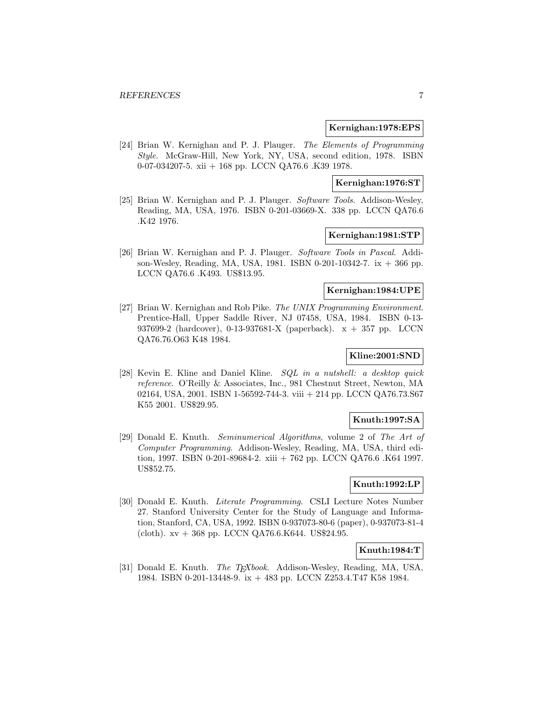#### **Kernighan:1978:EPS**

[24] Brian W. Kernighan and P. J. Plauger. The Elements of Programming Style. McGraw-Hill, New York, NY, USA, second edition, 1978. ISBN 0-07-034207-5. xii + 168 pp. LCCN QA76.6 .K39 1978.

## **Kernighan:1976:ST**

[25] Brian W. Kernighan and P. J. Plauger. Software Tools. Addison-Wesley, Reading, MA, USA, 1976. ISBN 0-201-03669-X. 338 pp. LCCN QA76.6 .K42 1976.

## **Kernighan:1981:STP**

[26] Brian W. Kernighan and P. J. Plauger. Software Tools in Pascal. Addison-Wesley, Reading, MA, USA, 1981. ISBN 0-201-10342-7. ix + 366 pp. LCCN QA76.6 .K493. US\$13.95.

## **Kernighan:1984:UPE**

[27] Brian W. Kernighan and Rob Pike. The UNIX Programming Environment. Prentice-Hall, Upper Saddle River, NJ 07458, USA, 1984. ISBN 0-13- 937699-2 (hardcover), 0-13-937681-X (paperback). x + 357 pp. LCCN QA76.76.O63 K48 1984.

## **Kline:2001:SND**

[28] Kevin E. Kline and Daniel Kline. SQL in a nutshell: a desktop quick reference. O'Reilly & Associates, Inc., 981 Chestnut Street, Newton, MA 02164, USA, 2001. ISBN 1-56592-744-3. viii + 214 pp. LCCN QA76.73.S67 K55 2001. US\$29.95.

#### **Knuth:1997:SA**

[29] Donald E. Knuth. Seminumerical Algorithms, volume 2 of The Art of Computer Programming. Addison-Wesley, Reading, MA, USA, third edition, 1997. ISBN 0-201-89684-2. xiii + 762 pp. LCCN QA76.6 .K64 1997. US\$52.75.

#### **Knuth:1992:LP**

[30] Donald E. Knuth. Literate Programming. CSLI Lecture Notes Number 27. Stanford University Center for the Study of Language and Information, Stanford, CA, USA, 1992. ISBN 0-937073-80-6 (paper), 0-937073-81-4 (cloth).  $xy + 368$  pp. LCCN QA76.6.K644. US\$24.95.

#### **Knuth:1984:T**

[31] Donald E. Knuth. *The T<sub>E</sub>Xbook*. Addison-Wesley, Reading, MA, USA, 1984. ISBN 0-201-13448-9. ix + 483 pp. LCCN Z253.4.T47 K58 1984.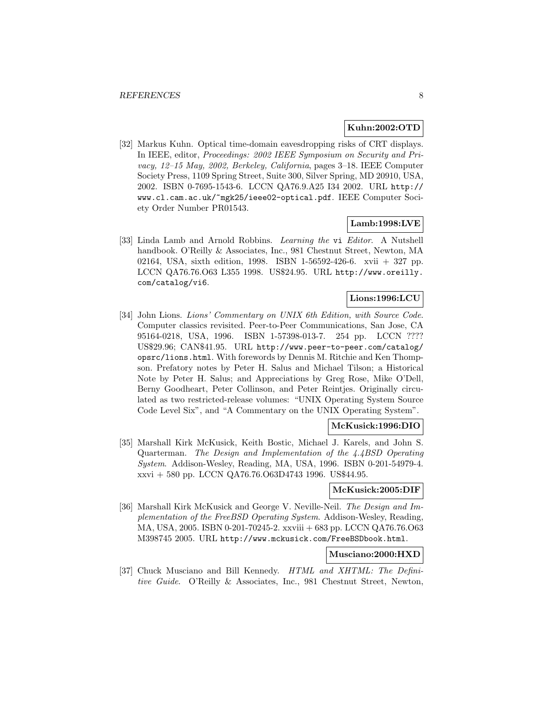#### **Kuhn:2002:OTD**

[32] Markus Kuhn. Optical time-domain eavesdropping risks of CRT displays. In IEEE, editor, Proceedings: 2002 IEEE Symposium on Security and Privacy, 12–15 May, 2002, Berkeley, California, pages 3–18. IEEE Computer Society Press, 1109 Spring Street, Suite 300, Silver Spring, MD 20910, USA, 2002. ISBN 0-7695-1543-6. LCCN QA76.9.A25 I34 2002. URL http:// www.cl.cam.ac.uk/~mgk25/ieee02-optical.pdf. IEEE Computer Society Order Number PR01543.

#### **Lamb:1998:LVE**

[33] Linda Lamb and Arnold Robbins. Learning the vi Editor. A Nutshell handbook. O'Reilly & Associates, Inc., 981 Chestnut Street, Newton, MA 02164, USA, sixth edition, 1998. ISBN 1-56592-426-6. xvii + 327 pp. LCCN QA76.76.O63 L355 1998. US\$24.95. URL http://www.oreilly. com/catalog/vi6.

#### **Lions:1996:LCU**

[34] John Lions. Lions' Commentary on UNIX 6th Edition, with Source Code. Computer classics revisited. Peer-to-Peer Communications, San Jose, CA 95164-0218, USA, 1996. ISBN 1-57398-013-7. 254 pp. LCCN ???? US\$29.96; CAN\$41.95. URL http://www.peer-to-peer.com/catalog/ opsrc/lions.html. With forewords by Dennis M. Ritchie and Ken Thompson. Prefatory notes by Peter H. Salus and Michael Tilson; a Historical Note by Peter H. Salus; and Appreciations by Greg Rose, Mike O'Dell, Berny Goodheart, Peter Collinson, and Peter Reintjes. Originally circulated as two restricted-release volumes: "UNIX Operating System Source Code Level Six", and "A Commentary on the UNIX Operating System".

#### **McKusick:1996:DIO**

[35] Marshall Kirk McKusick, Keith Bostic, Michael J. Karels, and John S. Quarterman. The Design and Implementation of the 4.4BSD Operating System. Addison-Wesley, Reading, MA, USA, 1996. ISBN 0-201-54979-4. xxvi + 580 pp. LCCN QA76.76.O63D4743 1996. US\$44.95.

#### **McKusick:2005:DIF**

[36] Marshall Kirk McKusick and George V. Neville-Neil. The Design and Implementation of the FreeBSD Operating System. Addison-Wesley, Reading, MA, USA, 2005. ISBN 0-201-70245-2. xxviii + 683 pp. LCCN QA76.76.O63 M398745 2005. URL http://www.mckusick.com/FreeBSDbook.html.

## **Musciano:2000:HXD**

[37] Chuck Musciano and Bill Kennedy. HTML and XHTML: The Definitive Guide. O'Reilly & Associates, Inc., 981 Chestnut Street, Newton,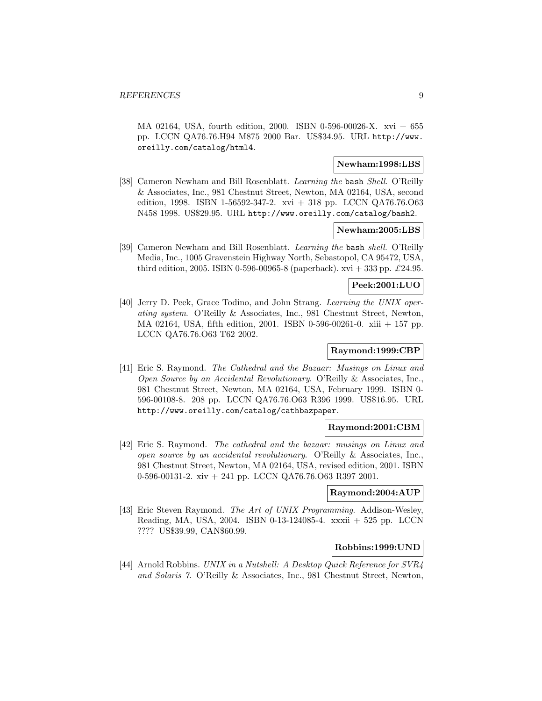MA 02164, USA, fourth edition, 2000. ISBN 0-596-00026-X. xvi + 655 pp. LCCN QA76.76.H94 M875 2000 Bar. US\$34.95. URL http://www. oreilly.com/catalog/html4.

## **Newham:1998:LBS**

[38] Cameron Newham and Bill Rosenblatt. Learning the bash Shell. O'Reilly & Associates, Inc., 981 Chestnut Street, Newton, MA 02164, USA, second edition, 1998. ISBN 1-56592-347-2. xvi + 318 pp. LCCN QA76.76.O63 N458 1998. US\$29.95. URL http://www.oreilly.com/catalog/bash2.

#### **Newham:2005:LBS**

[39] Cameron Newham and Bill Rosenblatt. Learning the bash shell. O'Reilly Media, Inc., 1005 Gravenstein Highway North, Sebastopol, CA 95472, USA, third edition, 2005. ISBN 0-596-00965-8 (paperback). xvi + 333 pp.  $\pounds$ 24.95.

#### **Peek:2001:LUO**

[40] Jerry D. Peek, Grace Todino, and John Strang. Learning the UNIX operating system. O'Reilly & Associates, Inc., 981 Chestnut Street, Newton, MA 02164, USA, fifth edition, 2001. ISBN 0-596-00261-0. xiii + 157 pp. LCCN QA76.76.O63 T62 2002.

## **Raymond:1999:CBP**

[41] Eric S. Raymond. The Cathedral and the Bazaar: Musings on Linux and Open Source by an Accidental Revolutionary. O'Reilly & Associates, Inc., 981 Chestnut Street, Newton, MA 02164, USA, February 1999. ISBN 0- 596-00108-8. 208 pp. LCCN QA76.76.O63 R396 1999. US\$16.95. URL http://www.oreilly.com/catalog/cathbazpaper.

#### **Raymond:2001:CBM**

[42] Eric S. Raymond. The cathedral and the bazaar: musings on Linux and open source by an accidental revolutionary. O'Reilly & Associates, Inc., 981 Chestnut Street, Newton, MA 02164, USA, revised edition, 2001. ISBN 0-596-00131-2. xiv + 241 pp. LCCN QA76.76.O63 R397 2001.

#### **Raymond:2004:AUP**

[43] Eric Steven Raymond. The Art of UNIX Programming. Addison-Wesley, Reading, MA, USA, 2004. ISBN 0-13-124085-4. xxxii + 525 pp. LCCN ???? US\$39.99, CAN\$60.99.

#### **Robbins:1999:UND**

[44] Arnold Robbins. UNIX in a Nutshell: A Desktop Quick Reference for SVR4 and Solaris 7. O'Reilly & Associates, Inc., 981 Chestnut Street, Newton,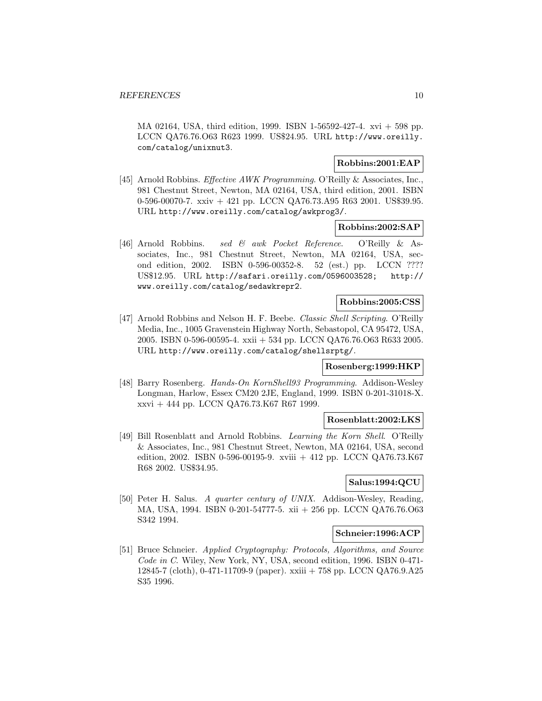MA 02164, USA, third edition, 1999. ISBN 1-56592-427-4. xvi + 598 pp. LCCN QA76.76.O63 R623 1999. US\$24.95. URL http://www.oreilly. com/catalog/unixnut3.

#### **Robbins:2001:EAP**

[45] Arnold Robbins. Effective AWK Programming. O'Reilly & Associates, Inc., 981 Chestnut Street, Newton, MA 02164, USA, third edition, 2001. ISBN 0-596-00070-7. xxiv + 421 pp. LCCN QA76.73.A95 R63 2001. US\$39.95. URL http://www.oreilly.com/catalog/awkprog3/.

#### **Robbins:2002:SAP**

[46] Arnold Robbins. sed & awk Pocket Reference. O'Reilly & Associates, Inc., 981 Chestnut Street, Newton, MA 02164, USA, second edition, 2002. ISBN 0-596-00352-8. 52 (est.) pp. LCCN ???? US\$12.95. URL http://safari.oreilly.com/0596003528; http:// www.oreilly.com/catalog/sedawkrepr2.

#### **Robbins:2005:CSS**

[47] Arnold Robbins and Nelson H. F. Beebe. Classic Shell Scripting. O'Reilly Media, Inc., 1005 Gravenstein Highway North, Sebastopol, CA 95472, USA, 2005. ISBN 0-596-00595-4. xxii + 534 pp. LCCN QA76.76.O63 R633 2005. URL http://www.oreilly.com/catalog/shellsrptg/.

#### **Rosenberg:1999:HKP**

[48] Barry Rosenberg. Hands-On KornShell93 Programming. Addison-Wesley Longman, Harlow, Essex CM20 2JE, England, 1999. ISBN 0-201-31018-X. xxvi + 444 pp. LCCN QA76.73.K67 R67 1999.

#### **Rosenblatt:2002:LKS**

[49] Bill Rosenblatt and Arnold Robbins. Learning the Korn Shell. O'Reilly & Associates, Inc., 981 Chestnut Street, Newton, MA 02164, USA, second edition, 2002. ISBN 0-596-00195-9. xviii  $+$  412 pp. LCCN QA76.73.K67 R68 2002. US\$34.95.

#### **Salus:1994:QCU**

[50] Peter H. Salus. A quarter century of UNIX. Addison-Wesley, Reading, MA, USA, 1994. ISBN 0-201-54777-5. xii + 256 pp. LCCN QA76.76.O63 S342 1994.

#### **Schneier:1996:ACP**

[51] Bruce Schneier. Applied Cryptography: Protocols, Algorithms, and Source Code in C. Wiley, New York, NY, USA, second edition, 1996. ISBN 0-471-12845-7 (cloth), 0-471-11709-9 (paper). xxiii + 758 pp. LCCN QA76.9.A25 S35 1996.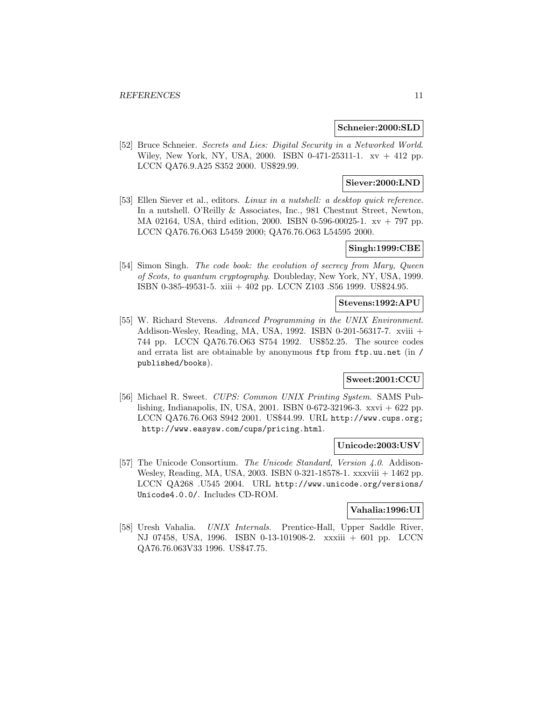#### **Schneier:2000:SLD**

[52] Bruce Schneier. Secrets and Lies: Digital Security in a Networked World. Wiley, New York, NY, USA, 2000. ISBN 0-471-25311-1. xv + 412 pp. LCCN QA76.9.A25 S352 2000. US\$29.99.

## **Siever:2000:LND**

[53] Ellen Siever et al., editors. Linux in a nutshell: a desktop quick reference. In a nutshell. O'Reilly & Associates, Inc., 981 Chestnut Street, Newton, MA 02164, USA, third edition, 2000. ISBN 0-596-00025-1. xv + 797 pp. LCCN QA76.76.O63 L5459 2000; QA76.76.O63 L54595 2000.

## **Singh:1999:CBE**

[54] Simon Singh. The code book: the evolution of secrecy from Mary, Queen of Scots, to quantum cryptography. Doubleday, New York, NY, USA, 1999. ISBN 0-385-49531-5. xiii + 402 pp. LCCN Z103 .S56 1999. US\$24.95.

#### **Stevens:1992:APU**

[55] W. Richard Stevens. Advanced Programming in the UNIX Environment. Addison-Wesley, Reading, MA, USA, 1992. ISBN 0-201-56317-7. xviii + 744 pp. LCCN QA76.76.O63 S754 1992. US\$52.25. The source codes and errata list are obtainable by anonymous ftp from ftp.uu.net (in / published/books).

## **Sweet:2001:CCU**

[56] Michael R. Sweet. CUPS: Common UNIX Printing System. SAMS Publishing, Indianapolis, IN, USA, 2001. ISBN 0-672-32196-3. xxvi + 622 pp. LCCN QA76.76.O63 S942 2001. US\$44.99. URL http://www.cups.org; http://www.easysw.com/cups/pricing.html.

#### **Unicode:2003:USV**

[57] The Unicode Consortium. The Unicode Standard, Version 4.0. Addison-Wesley, Reading, MA, USA, 2003. ISBN 0-321-18578-1. xxxviii + 1462 pp. LCCN QA268 .U545 2004. URL http://www.unicode.org/versions/ Unicode4.0.0/. Includes CD-ROM.

#### **Vahalia:1996:UI**

[58] Uresh Vahalia. UNIX Internals. Prentice-Hall, Upper Saddle River, NJ 07458, USA, 1996. ISBN 0-13-101908-2. xxxiii + 601 pp. LCCN QA76.76.063V33 1996. US\$47.75.